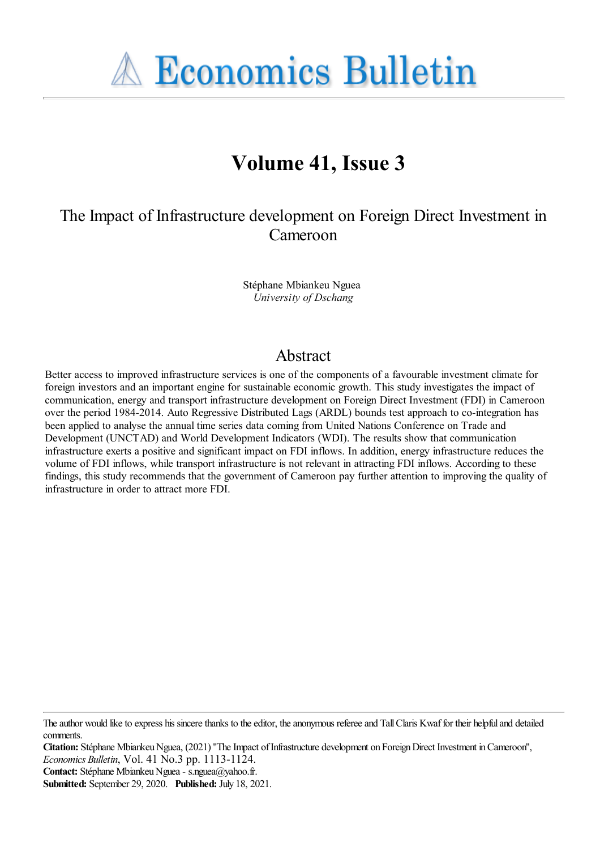**A Economics Bulletin** 

# **Volume 41, Issue 3**

The Impact of Infrastructure development on Foreign Direct Investment in Cameroon

> Stéphane Mbiankeu Nguea *University of Dschang*

# Abstract

Better access to improved infrastructure services is one of the components of a favourable investment climate for foreign investors and an important engine for sustainable economic growth. This study investigates the impact of communication, energy and transport infrastructure development on Foreign Direct Investment (FDI) in Cameroon over the period 1984-2014. Auto Regressive Distributed Lags (ARDL) bounds test approach to co-integration has been applied to analyse the annual time series data coming from United Nations Conference on Trade and Development (UNCTAD) and World Development Indicators (WDI). The results show that communication infrastructure exerts a positive and significant impact on FDI inflows. In addition, energy infrastructure reduces the volume of FDI inflows, while transport infrastructure is not relevant in attracting FDI inflows. According to these findings, this study recommends that the government of Cameroon pay further attention to improving the quality of infrastructure in order to attract more FDI.

**Contact:** Stéphane Mbiankeu Nguea - s.nguea@yahoo.fr.

The author would like to express his sincere thanks to the editor, the anonymous referee and Tall Claris Kwaf for their helpful and detailed comments.

**Citation:** Stéphane Mbiankeu Nguea, (2021) "The Impact of Infrastructure development on Foreign Direct Investment in Cameroon", *Economics Bulletin*, Vol. 41 No.3 pp. 1113-1124.

**Submitted:** September 29, 2020. **Published:** July 18, 2021.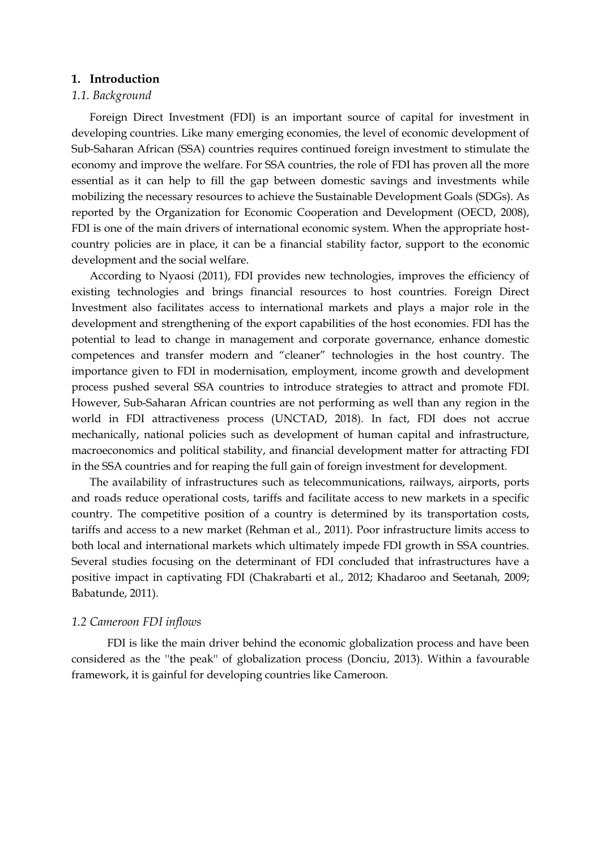#### **1. Introduction**

## *1.1. Background*

Foreign Direct Investment (FDI) is an important source of capital for investment in developing countries. Like many emerging economies, the level of economic development of Sub-Saharan African (SSA) countries requires continued foreign investment to stimulate the economy and improve the welfare. For SSA countries, the role of FDI has proven all the more essential as it can help to fill the gap between domestic savings and investments while mobilizing the necessary resources to achieve the Sustainable Development Goals (SDGs). As reported by the Organization for Economic Cooperation and Development (OECD, 2008), FDI is one of the main drivers of international economic system. When the appropriate hostcountry policies are in place, it can be a financial stability factor, support to the economic development and the social welfare.

According to Nyaosi (2011), FDI provides new technologies, improves the efficiency of existing technologies and brings financial resources to host countries. Foreign Direct Investment also facilitates access to international markets and plays a major role in the development and strengthening of the export capabilities of the host economies. FDI has the potential to lead to change in management and corporate governance, enhance domestic competences and transfer modern and "cleaner" technologies in the host country. The importance given to FDI in modernisation, employment, income growth and development process pushed several SSA countries to introduce strategies to attract and promote FDI. However, Sub-Saharan African countries are not performing as well than any region in the world in FDI attractiveness process (UNCTAD, 2018). In fact, FDI does not accrue mechanically, national policies such as development of human capital and infrastructure, macroeconomics and political stability, and financial development matter for attracting FDI in the SSA countries and for reaping the full gain of foreign investment for development.

The availability of infrastructures such as telecommunications, railways, airports, ports and roads reduce operational costs, tariffs and facilitate access to new markets in a specific country. The competitive position of a country is determined by its transportation costs, tariffs and access to a new market (Rehman et al., 2011). Poor infrastructure limits access to both local and international markets which ultimately impede FDI growth in SSA countries. Several studies focusing on the determinant of FDI concluded that infrastructures have a positive impact in captivating FDI (Chakrabarti et al., 2012; Khadaroo and Seetanah, 2009; Babatunde, 2011).

## *1.2 Cameroon FDI inflows*

FDI is like the main driver behind the economic globalization process and have been considered as the ''the peak'' of globalization process (Donciu, 2013). Within a favourable framework, it is gainful for developing countries like Cameroon.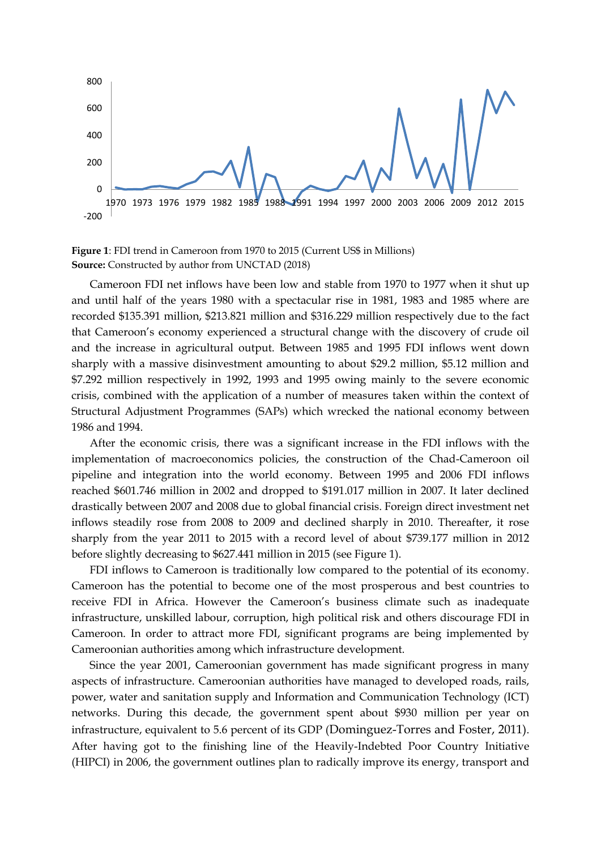

**Figure 1**: FDI trend in Cameroon from 1970 to 2015 (Current US\$ in Millions) **Source:** Constructed by author from UNCTAD (2018)

Cameroon FDI net inflows have been low and stable from 1970 to 1977 when it shut up and until half of the years 1980 with a spectacular rise in 1981, 1983 and 1985 where are recorded \$135.391 million, \$213.821 million and \$316.229 million respectively due to the fact that Cameroon's economy experienced a structural change with the discovery of crude oil and the increase in agricultural output. Between 1985 and 1995 FDI inflows went down sharply with a massive disinvestment amounting to about \$29.2 million, \$5.12 million and \$7.292 million respectively in 1992, 1993 and 1995 owing mainly to the severe economic crisis, combined with the application of a number of measures taken within the context of Structural Adjustment Programmes (SAPs) which wrecked the national economy between 1986 and 1994.

After the economic crisis, there was a significant increase in the FDI inflows with the implementation of macroeconomics policies, the construction of the Chad-Cameroon oil pipeline and integration into the world economy. Between 1995 and 2006 FDI inflows reached \$601.746 million in 2002 and dropped to \$191.017 million in 2007. It later declined drastically between 2007 and 2008 due to global financial crisis. Foreign direct investment net inflows steadily rose from 2008 to 2009 and declined sharply in 2010. Thereafter, it rose sharply from the year 2011 to 2015 with a record level of about \$739.177 million in 2012 before slightly decreasing to \$627.441 million in 2015 (see Figure 1).

FDI inflows to Cameroon is traditionally low compared to the potential of its economy. Cameroon has the potential to become one of the most prosperous and best countries to receive FDI in Africa. However the Cameroon's business climate such as inadequate infrastructure, unskilled labour, corruption, high political risk and others discourage FDI in Cameroon. In order to attract more FDI, significant programs are being implemented by Cameroonian authorities among which infrastructure development.

Since the year 2001, Cameroonian government has made significant progress in many aspects of infrastructure. Cameroonian authorities have managed to developed roads, rails, power, water and sanitation supply and Information and Communication Technology (ICT) networks. During this decade, the government spent about \$930 million per year on infrastructure, equivalent to 5.6 percent of its GDP (Dominguez-Torres and Foster, 2011). After having got to the finishing line of the Heavily-Indebted Poor Country Initiative (HIPCI) in 2006, the government outlines plan to radically improve its energy, transport and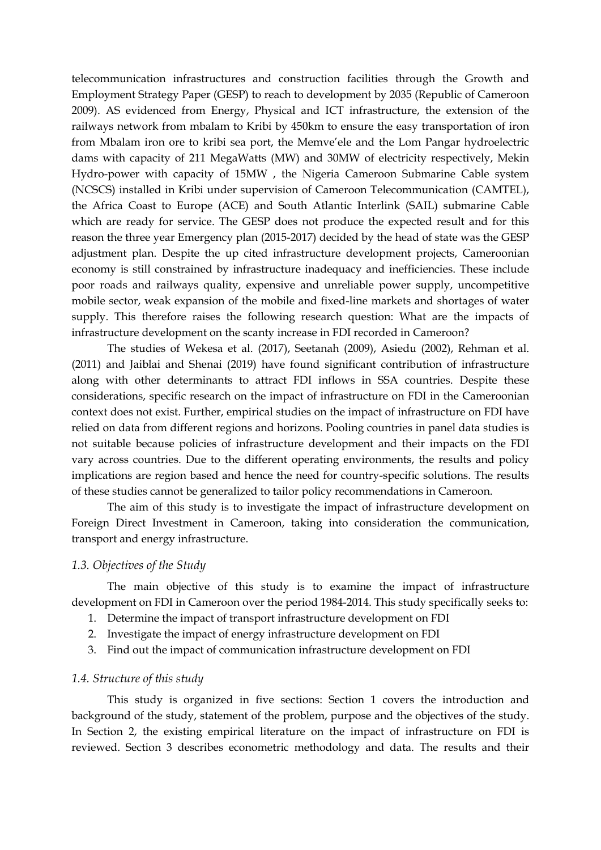telecommunication infrastructures and construction facilities through the Growth and Employment Strategy Paper (GESP) to reach to development by 2035 (Republic of Cameroon 2009). AS evidenced from Energy, Physical and ICT infrastructure, the extension of the railways network from mbalam to Kribi by 450km to ensure the easy transportation of iron from Mbalam iron ore to kribi sea port, the Memve'ele and the Lom Pangar hydroelectric dams with capacity of 211 MegaWatts (MW) and 30MW of electricity respectively, Mekin Hydro-power with capacity of 15MW , the Nigeria Cameroon Submarine Cable system (NCSCS) installed in Kribi under supervision of Cameroon Telecommunication (CAMTEL), the Africa Coast to Europe (ACE) and South Atlantic Interlink (SAIL) submarine Cable which are ready for service. The GESP does not produce the expected result and for this reason the three year Emergency plan (2015-2017) decided by the head of state was the GESP adjustment plan. Despite the up cited infrastructure development projects, Cameroonian economy is still constrained by infrastructure inadequacy and inefficiencies. These include poor roads and railways quality, expensive and unreliable power supply, uncompetitive mobile sector, weak expansion of the mobile and fixed-line markets and shortages of water supply. This therefore raises the following research question: What are the impacts of infrastructure development on the scanty increase in FDI recorded in Cameroon?

The studies of Wekesa et al. (2017), Seetanah (2009), Asiedu (2002), Rehman et al. (2011) and Jaiblai and Shenai (2019) have found significant contribution of infrastructure along with other determinants to attract FDI inflows in SSA countries. Despite these considerations, specific research on the impact of infrastructure on FDI in the Cameroonian context does not exist. Further, empirical studies on the impact of infrastructure on FDI have relied on data from different regions and horizons. Pooling countries in panel data studies is not suitable because policies of infrastructure development and their impacts on the FDI vary across countries. Due to the different operating environments, the results and policy implications are region based and hence the need for country-specific solutions. The results of these studies cannot be generalized to tailor policy recommendations in Cameroon.

The aim of this study is to investigate the impact of infrastructure development on Foreign Direct Investment in Cameroon, taking into consideration the communication, transport and energy infrastructure.

## *1.3. Objectives of the Study*

The main objective of this study is to examine the impact of infrastructure development on FDI in Cameroon over the period 1984-2014. This study specifically seeks to:

- 1. Determine the impact of transport infrastructure development on FDI
- 2. Investigate the impact of energy infrastructure development on FDI
- 3. Find out the impact of communication infrastructure development on FDI

## *1.4. Structure of this study*

This study is organized in five sections: Section 1 covers the introduction and background of the study, statement of the problem, purpose and the objectives of the study. In Section 2, the existing empirical literature on the impact of infrastructure on FDI is reviewed. Section 3 describes econometric methodology and data. The results and their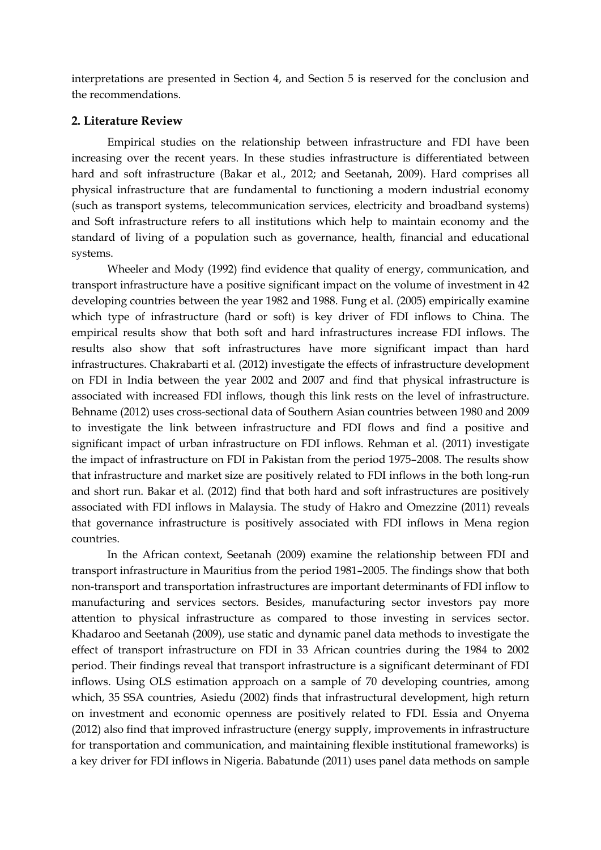interpretations are presented in Section 4, and Section 5 is reserved for the conclusion and the recommendations.

#### **2. Literature Review**

Empirical studies on the relationship between infrastructure and FDI have been increasing over the recent years. In these studies infrastructure is differentiated between hard and soft infrastructure (Bakar et al., 2012; and Seetanah, 2009). Hard comprises all physical infrastructure that are fundamental to functioning a modern industrial economy (such as transport systems, telecommunication services, electricity and broadband systems) and Soft infrastructure refers to all institutions which help to maintain economy and the standard of living of a population such as governance, health, financial and educational systems.

Wheeler and Mody (1992) find evidence that quality of energy, communication, and transport infrastructure have a positive significant impact on the volume of investment in 42 developing countries between the year 1982 and 1988. Fung et al. (2005) empirically examine which type of infrastructure (hard or soft) is key driver of FDI inflows to China. The empirical results show that both soft and hard infrastructures increase FDI inflows. The results also show that soft infrastructures have more significant impact than hard infrastructures. Chakrabarti et al. (2012) investigate the effects of infrastructure development on FDI in India between the year 2002 and 2007 and find that physical infrastructure is associated with increased FDI inflows, though this link rests on the level of infrastructure. Behname (2012) uses cross-sectional data of Southern Asian countries between 1980 and 2009 to investigate the link between infrastructure and FDI flows and find a positive and significant impact of urban infrastructure on FDI inflows. Rehman et al. (2011) investigate the impact of infrastructure on FDI in Pakistan from the period 1975–2008. The results show that infrastructure and market size are positively related to FDI inflows in the both long-run and short run. Bakar et al. (2012) find that both hard and soft infrastructures are positively associated with FDI inflows in Malaysia. The study of Hakro and Omezzine (2011) reveals that governance infrastructure is positively associated with FDI inflows in Mena region countries.

In the African context, Seetanah (2009) examine the relationship between FDI and transport infrastructure in Mauritius from the period 1981–2005. The findings show that both non-transport and transportation infrastructures are important determinants of FDI inflow to manufacturing and services sectors. Besides, manufacturing sector investors pay more attention to physical infrastructure as compared to those investing in services sector. Khadaroo and Seetanah (2009), use static and dynamic panel data methods to investigate the effect of transport infrastructure on FDI in 33 African countries during the 1984 to 2002 period. Their findings reveal that transport infrastructure is a significant determinant of FDI inflows. Using OLS estimation approach on a sample of 70 developing countries, among which, 35 SSA countries, Asiedu (2002) finds that infrastructural development, high return on investment and economic openness are positively related to FDI. Essia and Onyema (2012) also find that improved infrastructure (energy supply, improvements in infrastructure for transportation and communication, and maintaining flexible institutional frameworks) is a key driver for FDI inflows in Nigeria. Babatunde (2011) uses panel data methods on sample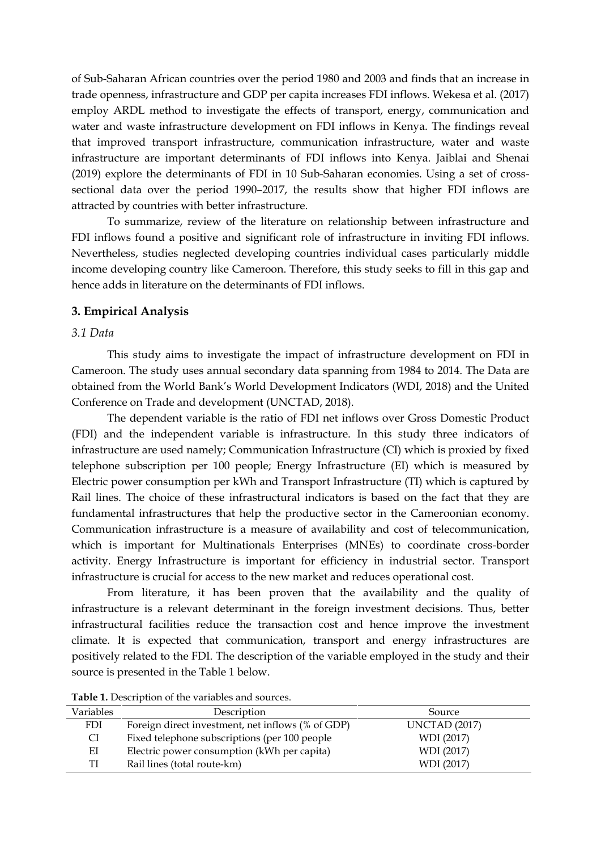of Sub-Saharan African countries over the period 1980 and 2003 and finds that an increase in trade openness, infrastructure and GDP per capita increases FDI inflows. Wekesa et al. (2017) employ ARDL method to investigate the effects of transport, energy, communication and water and waste infrastructure development on FDI inflows in Kenya. The findings reveal that improved transport infrastructure, communication infrastructure, water and waste infrastructure are important determinants of FDI inflows into Kenya. Jaiblai and Shenai (2019) explore the determinants of FDI in 10 Sub-Saharan economies. Using a set of crosssectional data over the period 1990–2017, the results show that higher FDI inflows are attracted by countries with better infrastructure.

To summarize, review of the literature on relationship between infrastructure and FDI inflows found a positive and significant role of infrastructure in inviting FDI inflows. Nevertheless, studies neglected developing countries individual cases particularly middle income developing country like Cameroon. Therefore, this study seeks to fill in this gap and hence adds in literature on the determinants of FDI inflows.

## **3. Empirical Analysis**

## *3.1 Data*

This study aims to investigate the impact of infrastructure development on FDI in Cameroon. The study uses annual secondary data spanning from 1984 to 2014. The Data are obtained from the World Bank's World Development Indicators (WDI, 2018) and the United Conference on Trade and development (UNCTAD, 2018).

The dependent variable is the ratio of FDI net inflows over Gross Domestic Product (FDI) and the independent variable is infrastructure. In this study three indicators of infrastructure are used namely; Communication Infrastructure (CI) which is proxied by fixed telephone subscription per 100 people; Energy Infrastructure (EI) which is measured by Electric power consumption per kWh and Transport Infrastructure (TI) which is captured by Rail lines. The choice of these infrastructural indicators is based on the fact that they are fundamental infrastructures that help the productive sector in the Cameroonian economy. Communication infrastructure is a measure of availability and cost of telecommunication, which is important for Multinationals Enterprises (MNEs) to coordinate cross-border activity. Energy Infrastructure is important for efficiency in industrial sector. Transport infrastructure is crucial for access to the new market and reduces operational cost.

From literature, it has been proven that the availability and the quality of infrastructure is a relevant determinant in the foreign investment decisions. Thus, better infrastructural facilities reduce the transaction cost and hence improve the investment climate. It is expected that communication, transport and energy infrastructures are positively related to the FDI. The description of the variable employed in the study and their source is presented in the Table 1 below.

| Variables | Description                                       | Source               |
|-----------|---------------------------------------------------|----------------------|
| FDI       | Foreign direct investment, net inflows (% of GDP) | <b>UNCTAD</b> (2017) |
| CI        | Fixed telephone subscriptions (per 100 people     | WDI (2017)           |
| ЕI        | Electric power consumption (kWh per capita)       | WDI (2017)           |
| TI        | Rail lines (total route-km)                       | WDI (2017)           |

**Table 1.** Description of the variables and sources.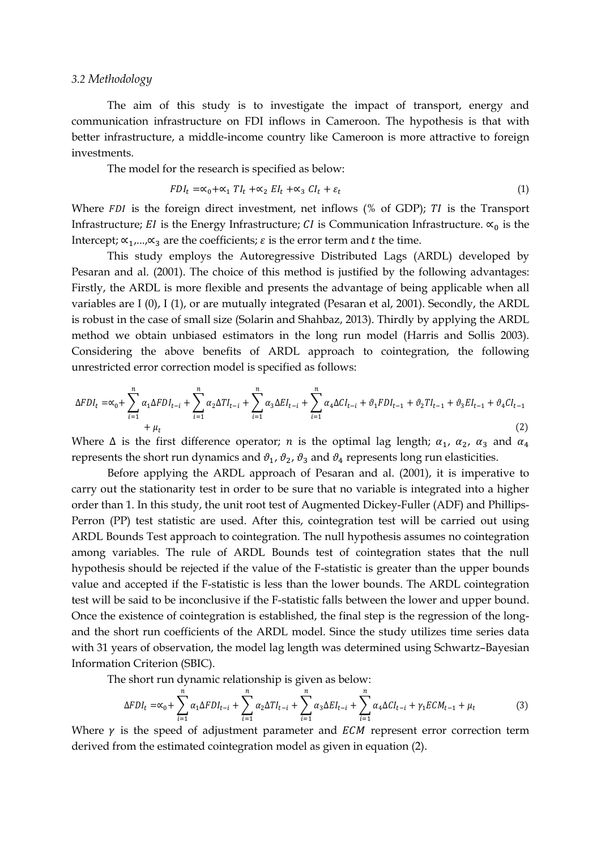#### *3.2 Methodology*

The aim of this study is to investigate the impact of transport, energy and communication infrastructure on FDI inflows in Cameroon. The hypothesis is that with better infrastructure, a middle-income country like Cameroon is more attractive to foreign investments.

The model for the research is specified as below:

$$
FDI_t = \alpha_0 + \alpha_1 TI_t + \alpha_2 EI_t + \alpha_3 CI_t + \varepsilon_t
$$
\n<sup>(1)</sup>

Where  $FDI$  is the foreign direct investment, net inflows (% of GDP);  $TI$  is the Transport Infrastructure; EI is the Energy Infrastructure; CI is Communication Infrastructure.  $\alpha_0$  is the Intercept;  $\alpha_1, \ldots, \alpha_n$  are the coefficients;  $\varepsilon$  is the error term and t the time.

This study employs the Autoregressive Distributed Lags (ARDL) developed by Pesaran and al. (2001). The choice of this method is justified by the following advantages: Firstly, the ARDL is more flexible and presents the advantage of being applicable when all variables are I (0), I (1), or are mutually integrated (Pesaran et al, 2001). Secondly, the ARDL is robust in the case of small size (Solarin and Shahbaz, 2013). Thirdly by applying the ARDL method we obtain unbiased estimators in the long run model (Harris and Sollis 2003). Considering the above benefits of ARDL approach to cointegration, the following unrestricted error correction model is specified as follows:

$$
\Delta FDI_t = \alpha_0 + \sum_{i=1}^n \alpha_1 \Delta FDI_{t-i} + \sum_{i=1}^n \alpha_2 \Delta TI_{t-i} + \sum_{i=1}^n \alpha_3 \Delta EI_{t-i} + \sum_{i=1}^n \alpha_4 \Delta CI_{t-i} + \vartheta_1 FDI_{t-1} + \vartheta_2 TI_{t-1} + \vartheta_3 EI_{t-1} + \vartheta_4 CI_{t-1}
$$
\n(2)

Where  $\Delta$  is the first difference operator; *n* is the optimal lag length;  $\alpha_1$ ,  $\alpha_2$ ,  $\alpha_3$  and  $\alpha_4$ represents the short run dynamics and  $\vartheta_1$ ,  $\vartheta_2$ ,  $\vartheta_3$  and  $\vartheta_4$  represents long run elasticities.

Before applying the ARDL approach of Pesaran and al. (2001), it is imperative to carry out the stationarity test in order to be sure that no variable is integrated into a higher order than 1. In this study, the unit root test of Augmented Dickey-Fuller (ADF) and Phillips-Perron (PP) test statistic are used. After this, cointegration test will be carried out using ARDL Bounds Test approach to cointegration. The null hypothesis assumes no cointegration among variables. The rule of ARDL Bounds test of cointegration states that the null hypothesis should be rejected if the value of the F-statistic is greater than the upper bounds value and accepted if the F-statistic is less than the lower bounds. The ARDL cointegration test will be said to be inconclusive if the F-statistic falls between the lower and upper bound. Once the existence of cointegration is established, the final step is the regression of the longand the short run coefficients of the ARDL model. Since the study utilizes time series data with 31 years of observation, the model lag length was determined using Schwartz–Bayesian Information Criterion (SBIC).

The short run dynamic relationship is given as below:

$$
\Delta FDI_t = \alpha_0 + \sum_{i=1}^n \alpha_1 \Delta FDI_{t-i} + \sum_{i=1}^n \alpha_2 \Delta TI_{t-i} + \sum_{i=1}^n \alpha_3 \Delta EI_{t-i} + \sum_{i=1}^n \alpha_4 \Delta CI_{t-i} + \gamma_1 ECM_{t-1} + \mu_t
$$
(3)

Where  $\gamma$  is the speed of adjustment parameter and  $ECM$  represent error correction term derived from the estimated cointegration model as given in equation (2).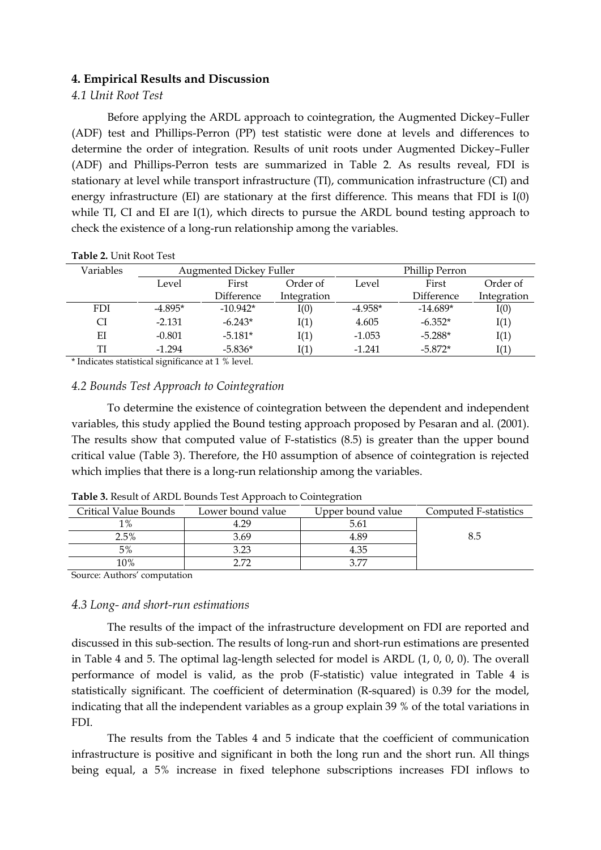## **4. Empirical Results and Discussion**

## *4.1 Unit Root Test*

Before applying the ARDL approach to cointegration, the Augmented Dickey–Fuller (ADF) test and Phillips-Perron (PP) test statistic were done at levels and differences to determine the order of integration. Results of unit roots under Augmented Dickey–Fuller (ADF) and Phillips-Perron tests are summarized in Table 2. As results reveal, FDI is stationary at level while transport infrastructure (TI), communication infrastructure (CI) and energy infrastructure (EI) are stationary at the first difference. This means that FDI is I(0) while TI, CI and EI are I(1), which directs to pursue the ARDL bound testing approach to check the existence of a long-run relationship among the variables.

| Variables  | <b>Augmented Dickey Fuller</b> |            | Phillip Perron |           |            |             |
|------------|--------------------------------|------------|----------------|-----------|------------|-------------|
|            | Level                          | First      | Order of       | Level     | First      | Order of    |
|            |                                | Difference | Integration    |           | Difference | Integration |
| <b>FDI</b> | $-4.895*$                      | $-10.942*$ | I(0)           | $-4.958*$ | $-14.689*$ | I(0)        |
| СI         | $-2.131$                       | $-6.243*$  | I(1)           | 4.605     | $-6.352*$  | I(1)        |
| ЕI         | $-0.801$                       | $-5.181*$  | I(1)           | $-1.053$  | $-5.288*$  | I(1)        |
| TI         | $-1.294$                       | $-5.836*$  | I(1)           | $-1.241$  | $-5.872*$  | I(1)        |
|            |                                |            |                |           |            |             |

**Table 2.** Unit Root Test

\* Indicates statistical significance at 1 % level.

## *4.2 Bounds Test Approach to Cointegration*

To determine the existence of cointegration between the dependent and independent variables, this study applied the Bound testing approach proposed by Pesaran and al. (2001). The results show that computed value of F-statistics (8.5) is greater than the upper bound critical value (Table 3). Therefore, the H0 assumption of absence of cointegration is rejected which implies that there is a long-run relationship among the variables.

| Critical Value Bounds | Lower bound value | Upper bound value | Computed F-statistics |
|-----------------------|-------------------|-------------------|-----------------------|
| $1\%$                 | 4.29              | 5.61              |                       |
| 2.5%                  | 3.69              | 4.89              |                       |
| 5%                    | 3.23              | 4.35              |                       |
| 10%                   | 2.72              | 2 77              |                       |

**Table 3.** Result of ARDL Bounds Test Approach to Cointegration

Source: Authors' computation

#### *4.3 Long- and short-run estimations*

The results of the impact of the infrastructure development on FDI are reported and discussed in this sub-section. The results of long-run and short-run estimations are presented in Table 4 and 5. The optimal lag-length selected for model is ARDL (1, 0, 0, 0). The overall performance of model is valid, as the prob (F-statistic) value integrated in Table 4 is statistically significant. The coefficient of determination (R-squared) is 0.39 for the model, indicating that all the independent variables as a group explain 39 % of the total variations in FDI.

The results from the Tables 4 and 5 indicate that the coefficient of communication infrastructure is positive and significant in both the long run and the short run. All things being equal, a 5% increase in fixed telephone subscriptions increases FDI inflows to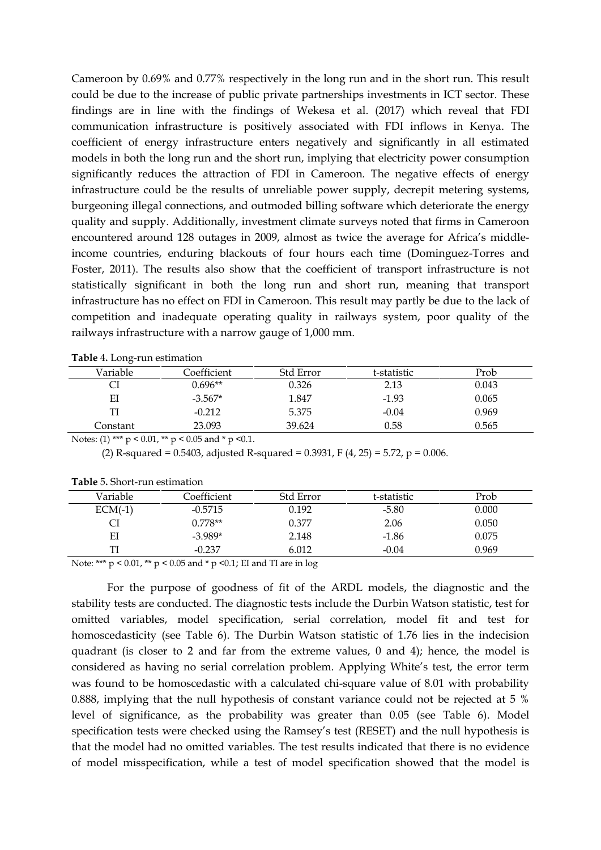Cameroon by 0.69% and 0.77% respectively in the long run and in the short run. This result could be due to the increase of public private partnerships investments in ICT sector. These findings are in line with the findings of Wekesa et al. (2017) which reveal that FDI communication infrastructure is positively associated with FDI inflows in Kenya. The coefficient of energy infrastructure enters negatively and significantly in all estimated models in both the long run and the short run, implying that electricity power consumption significantly reduces the attraction of FDI in Cameroon. The negative effects of energy infrastructure could be the results of unreliable power supply, decrepit metering systems, burgeoning illegal connections, and outmoded billing software which deteriorate the energy quality and supply. Additionally, investment climate surveys noted that firms in Cameroon encountered around 128 outages in 2009, almost as twice the average for Africa's middleincome countries, enduring blackouts of four hours each time (Dominguez-Torres and Foster, 2011). The results also show that the coefficient of transport infrastructure is not statistically significant in both the long run and short run, meaning that transport infrastructure has no effect on FDI in Cameroon. This result may partly be due to the lack of competition and inadequate operating quality in railways system, poor quality of the railways infrastructure with a narrow gauge of 1,000 mm.

| Variable | Coefficient                                                 | Std Error | t-statistic | Prob  |
|----------|-------------------------------------------------------------|-----------|-------------|-------|
|          | $0.696**$                                                   | 0.326     | 2.13        | 0.043 |
| EI       | $-3.567*$                                                   | 1.847     | $-1.93$     | 0.065 |
| TI       | $-0.212$                                                    | 5.375     | $-0.04$     | 0.969 |
| Constant | 23.093                                                      | 39.624    | 0.58        | 0.565 |
|          | Notes: (1) *** $p < 0.01$ , ** $p < 0.05$ and * $p < 0.1$ . |           |             |       |

|  |  | Table 4. Long-run estimation |
|--|--|------------------------------|
|--|--|------------------------------|

(2) R-squared = 0.5403, adjusted R-squared = 0.3931, F (4, 25) = 5.72, p = 0.006.

| Variable  | Coefficient | <b>Std Error</b> | t-statistic | Prob  |  |
|-----------|-------------|------------------|-------------|-------|--|
| $ECM(-1)$ | $-0.5715$   | 0.192            | $-5.80$     | 0.000 |  |
|           | $0.778**$   | 0.377            | 2.06        | 0.050 |  |
| EI        | $-3.989*$   | 2.148            | $-1.86$     | 0.075 |  |
|           | $-0.237$    | 6.012            | -0.04       | 0.969 |  |
|           |             |                  |             |       |  |

**Table** 5**.** Short-run estimation

Note: \*\*\* p < 0.01, \*\* p < 0.05 and \* p <0.1; EI and TI are in log

For the purpose of goodness of fit of the ARDL models, the diagnostic and the stability tests are conducted. The diagnostic tests include the Durbin Watson statistic, test for omitted variables, model specification, serial correlation, model fit and test for homoscedasticity (see Table 6). The Durbin Watson statistic of 1.76 lies in the indecision quadrant (is closer to 2 and far from the extreme values, 0 and 4); hence, the model is considered as having no serial correlation problem. Applying White's test, the error term was found to be homoscedastic with a calculated chi-square value of 8.01 with probability 0.888, implying that the null hypothesis of constant variance could not be rejected at 5 % level of significance, as the probability was greater than 0.05 (see Table 6). Model specification tests were checked using the Ramsey's test (RESET) and the null hypothesis is that the model had no omitted variables. The test results indicated that there is no evidence of model misspecification, while a test of model specification showed that the model is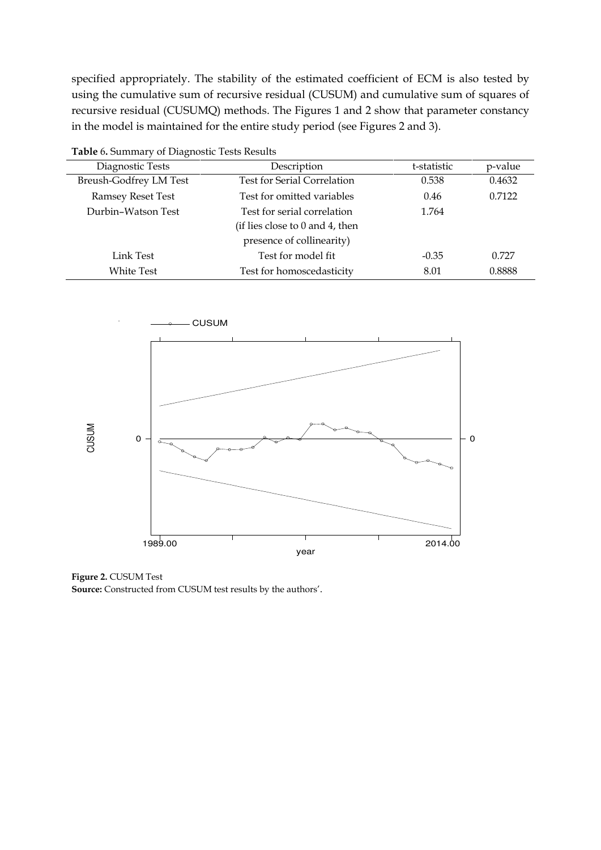specified appropriately. The stability of the estimated coefficient of ECM is also tested by using the cumulative sum of recursive residual (CUSUM) and cumulative sum of squares of recursive residual (CUSUMQ) methods. The Figures 1 and 2 show that parameter constancy in the model is maintained for the entire study period (see Figures 2 and 3).

| Table 6. Summary of Diagnostic Tests Results |                                    |             |         |  |  |
|----------------------------------------------|------------------------------------|-------------|---------|--|--|
| Diagnostic Tests                             | Description                        | t-statistic | p-value |  |  |
| <b>Breush-Godfrey LM Test</b>                | <b>Test for Serial Correlation</b> | 0.538       | 0.4632  |  |  |
| <b>Ramsey Reset Test</b>                     | Test for omitted variables         | 0.46        | 0.7122  |  |  |
| Durbin-Watson Test                           | Test for serial correlation        | 1.764       |         |  |  |
|                                              |                                    |             |         |  |  |
|                                              | presence of collinearity)          |             |         |  |  |
| Link Test                                    | Test for model fit                 | $-0.35$     | 0.727   |  |  |
| White Test                                   | 8.01                               | 0.8888      |         |  |  |



**Figure 2.** CUSUM Test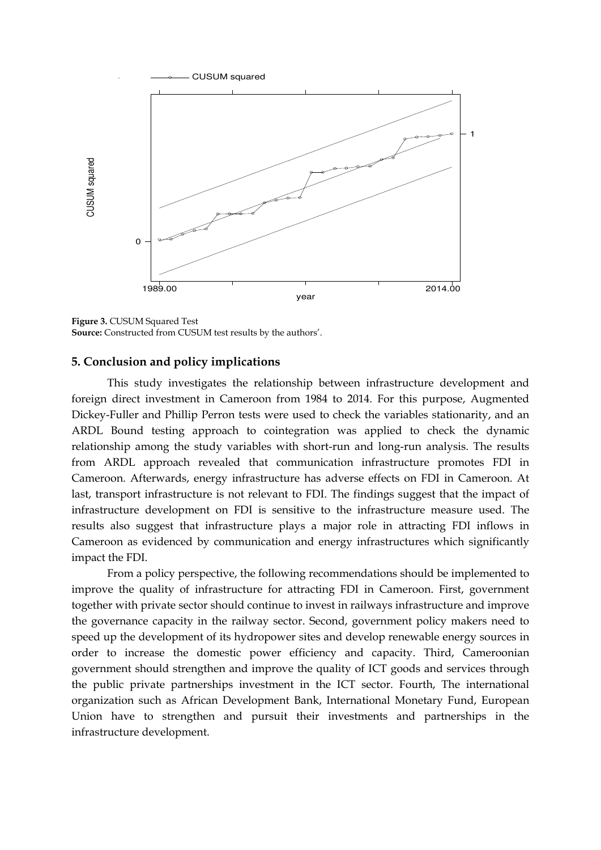

**Figure 3.** CUSUM Squared Test **Source:** Constructed from CUSUM test results by the authors'.

## **5. Conclusion and policy implications**

This study investigates the relationship between infrastructure development and foreign direct investment in Cameroon from 1984 to 2014. For this purpose, Augmented Dickey-Fuller and Phillip Perron tests were used to check the variables stationarity, and an ARDL Bound testing approach to cointegration was applied to check the dynamic relationship among the study variables with short-run and long-run analysis. The results from ARDL approach revealed that communication infrastructure promotes FDI in Cameroon. Afterwards, energy infrastructure has adverse effects on FDI in Cameroon. At last, transport infrastructure is not relevant to FDI. The findings suggest that the impact of infrastructure development on FDI is sensitive to the infrastructure measure used. The results also suggest that infrastructure plays a major role in attracting FDI inflows in Cameroon as evidenced by communication and energy infrastructures which significantly impact the FDI. **Example 12**<br> **Example 20**<br> **Example 20**<br> **Example 3.** CUSUM Squared Test<br> **Source:** Constructed from CUSUM<br> **5.** Conclusion and policy<br>
This study investiga<br>
foreign direct investment ir<br>
Dickey-Fuller and Phillip Pe<br>
ARD

From a policy perspective, the following recommendations should be implemented to improve the quality of infrastructure for attracting FDI in Cameroon. First, government together with private sector should continue to invest in railways infrastructure and improve the governance capacity in the railway sector. Second, government policy makers need to speed up the development of its hydropower sites and develop renewable energy sources in order to increase the domestic power efficiency and capacity. Third, Cameroonian government should strengthen and improve the quality of ICT goods and services through the public private partnerships investment in the ICT sector. Fourth, The international organization such as African Development Bank, International Monetary Fund, European Union have to strengthen and pursuit their investments and partnerships in the